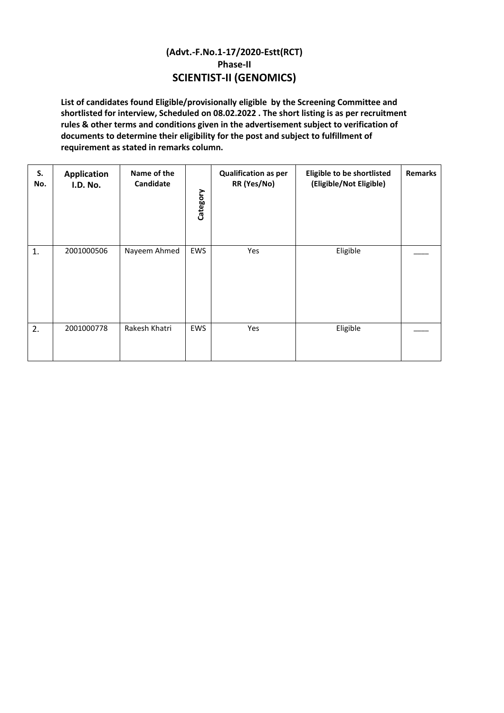## **(Advt.-F.No.1-17/2020-Estt(RCT) Phase-II SCIENTIST-II (GENOMICS)**

**List of candidates found Eligible/provisionally eligible by the Screening Committee and shortlisted for interview, Scheduled on 08.02.2022 . The short listing is as per recruitment rules & other terms and conditions given in the advertisement subject to verification of documents to determine their eligibility for the post and subject to fulfillment of requirement as stated in remarks column.** 

| S.<br>No. | <b>Application</b><br><b>I.D. No.</b> | Name of the<br>Candidate | Category   | <b>Qualification as per</b><br>RR (Yes/No) | Eligible to be shortlisted<br>(Eligible/Not Eligible) | <b>Remarks</b> |
|-----------|---------------------------------------|--------------------------|------------|--------------------------------------------|-------------------------------------------------------|----------------|
| 1.        | 2001000506                            | Nayeem Ahmed             | EWS        | Yes                                        | Eligible                                              |                |
| 2.        | 2001000778                            | Rakesh Khatri            | <b>EWS</b> | Yes                                        | Eligible                                              |                |